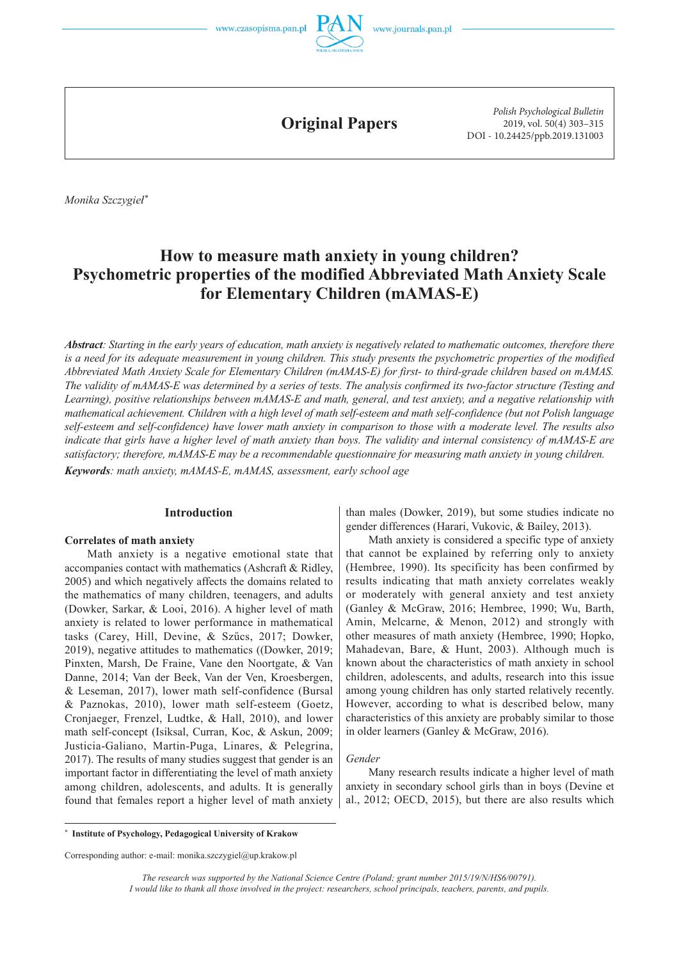



**Original Papers**

*Polish Psychological Bulletin* 2019, vol. 50(4) 303–315 DOI - 10.24425/ppb.2019.131003

 *Monika Szczygieł \**

# **How to measure math anxiety in young children? Psychometric properties of the modified Abbreviated Math Anxiety Scale for Elementary Children (mAMAS-E)**

*Abstract: Starting in the early years of education, math anxiety is negatively related to mathematic outcomes, therefore there is a need for its adequate measurement in young children. This study presents the psychometric properties of the modified Abbreviated Math Anxiety Scale for Elementary Children (mAMAS-E) for first- to third-grade children based on mAMAS. The validity of mAMAS-E was determined by a series of tests. The analysis confirmed its two-factor structure (Testing and Learning), positive relationships between mAMAS-E and math, general, and test anxiety, and a negative relationship with mathematical achievement. Children with a high level of math self-esteem and math self-confidence (but not Polish language self-esteem and self-confidence) have lower math anxiety in comparison to those with a moderate level. The results also indicate that girls have a higher level of math anxiety than boys. The validity and internal consistency of mAMAS-E are satisfactory; therefore, mAMAS-E may be a recommendable questionnaire for measuring math anxiety in young children.*

*Keywords: math anxiety, mAMAS-E, mAMAS, assessment, early school age*

## **Introduction**

### **Correlates of math anxiety**

 Math anxiety is a negative emotional state that accompanies contact with mathematics (Ashcraft & Ridley, 2005) and which negatively affects the domains related to the mathematics of many children, teenagers, and adults (Dowker, Sarkar, & Looi, 2016). A higher level of math anxiety is related to lower performance in mathematical tasks (Carey, Hill, Devine, & Szűcs, 2017; Dowker, 2019), negative attitudes to mathematics ((Dowker, 2019; Pinxten, Marsh, De Fraine, Vane den Noortgate, & Van Danne, 2014; Van der Beek, Van der Ven, Kroesbergen, & Leseman, 2017), lower math self-confidence (Bursal & Paznokas, 2010), lower math self-esteem (Goetz, Cronjaeger, Frenzel, Ludtke, & Hall, 2010), and lower math self-concept (Isiksal, Curran, Koc, & Askun, 2009; Justicia-Galiano, Martin-Puga, Linares, & Pelegrina, 2017). The results of many studies suggest that gender is an important factor in differentiating the level of math anxiety among children, adolescents, and adults. It is generally found that females report a higher level of math anxiety than males (Dowker, 2019), but some studies indicate no gender differences (Harari, Vukovic, & Bailey, 2013).

Math anxiety is considered a specific type of anxiety that cannot be explained by referring only to anxiety (Hembree, 1990). Its specificity has been confirmed by results indicating that math anxiety correlates weakly or moderately with general anxiety and test anxiety (Ganley & McGraw, 2016; Hembree, 1990; Wu, Barth, Amin, Melcarne, & Menon, 2012) and strongly with other measures of math anxiety (Hembree, 1990; Hopko, Mahadevan, Bare, & Hunt, 2003). Although much is known about the characteristics of math anxiety in school children, adolescents, and adults, research into this issue among young children has only started relatively recently. However, according to what is described below, many characteristics of this anxiety are probably similar to those in older learners (Ganley & McGraw, 2016).

### *Gender*

Many research results indicate a higher level of math anxiety in secondary school girls than in boys (Devine et al., 2012; OECD, 2015), but there are also results which

**\* Institute of Psychology, Pedagogical University of Krakow**

Corresponding author: e-mail: monika.szczygiel@up.krakow.pl

*The research was supported by the National Science Centre (Poland; grant number 2015/19/N/HS6/00791). I would like to thank all those involved in the project: researchers, school principals, teachers, parents, and pupils.*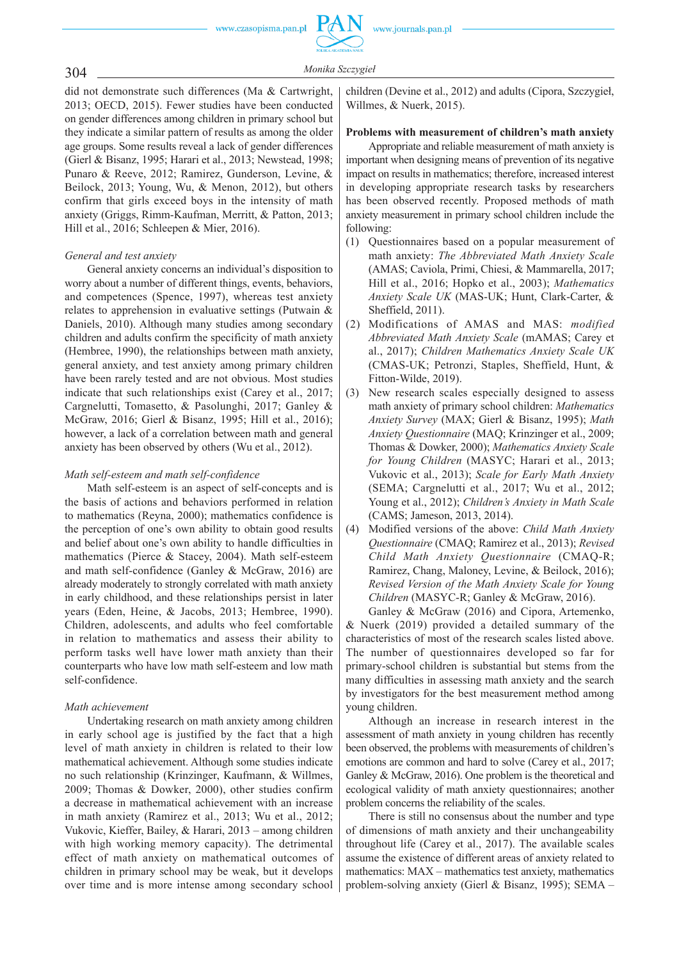304 *Monika Szczygie<sup>ł</sup>*

did not demonstrate such differences (Ma & Cartwright, 2013; OECD, 2015). Fewer studies have been conducted on gender differences among children in primary school but they indicate a similar pattern of results as among the older age groups. Some results reveal a lack of gender differences (Gierl & Bisanz, 1995; Harari et al., 2013; Newstead, 1998; Punaro & Reeve, 2012; Ramirez, Gunderson, Levine, & Beilock, 2013; Young, Wu, & Menon, 2012), but others confirm that girls exceed boys in the intensity of math anxiety (Griggs, Rimm-Kaufman, Merritt, & Patton, 2013; Hill et al., 2016; Schleepen & Mier, 2016).

## *General and test anxiety*

General anxiety concerns an individual's disposition to worry about a number of different things, events, behaviors, and competences (Spence, 1997), whereas test anxiety relates to apprehension in evaluative settings (Putwain & Daniels, 2010). Although many studies among secondary children and adults confirm the specificity of math anxiety (Hembree, 1990), the relationships between math anxiety, general anxiety, and test anxiety among primary children have been rarely tested and are not obvious. Most studies indicate that such relationships exist (Carey et al., 2017; Cargnelutti, Tomasetto, & Pasolunghi, 2017; Ganley & McGraw, 2016; Gierl & Bisanz, 1995; Hill et al., 2016); however, a lack of a correlation between math and general anxiety has been observed by others (Wu et al., 2012).

## *Math self-esteem and math self-confidence*

Math self-esteem is an aspect of self-concepts and is the basis of actions and behaviors performed in relation to mathematics (Reyna, 2000); mathematics confidence is the perception of one's own ability to obtain good results and belief about one's own ability to handle difficulties in mathematics (Pierce & Stacey, 2004). Math self-esteem and math self-confidence (Ganley & McGraw, 2016) are already moderately to strongly correlated with math anxiety in early childhood, and these relationships persist in later years (Eden, Heine, & Jacobs, 2013; Hembree, 1990). Children, adolescents, and adults who feel comfortable in relation to mathematics and assess their ability to perform tasks well have lower math anxiety than their counterparts who have low math self-esteem and low math self-confidence.

## *Math achievement*

Undertaking research on math anxiety among children in early school age is justified by the fact that a high level of math anxiety in children is related to their low mathematical achievement. Although some studies indicate no such relationship (Krinzinger, Kaufmann, & Willmes, 2009; Thomas & Dowker, 2000), other studies confirm a decrease in mathematical achievement with an increase in math anxiety (Ramirez et al., 2013; Wu et al., 2012; Vukovic, Kieffer, Bailey, & Harari, 2013 – among children with high working memory capacity). The detrimental effect of math anxiety on mathematical outcomes of children in primary school may be weak, but it develops over time and is more intense among secondary school children (Devine et al., 2012) and adults (Cipora, Szczygieł, Willmes, & Nuerk, 2015).

## **Problems with measurement of children's math anxiety**

Appropriate and reliable measurement of math anxiety is important when designing means of prevention of its negative impact on results in mathematics; therefore, increased interest in developing appropriate research tasks by researchers has been observed recently. Proposed methods of math anxiety measurement in primary school children include the following:

- (1) Questionnaires based on a popular measurement of math anxiety: *The Abbreviated Math Anxiety Scale* (AMAS; Caviola, Primi, Chiesi, & Mammarella, 2017; Hill et al., 2016; Hopko et al., 2003); *Mathematics Anxiety Scale UK* (MAS-UK; Hunt, Clark-Carter, & Sheffield, 2011).
- (2) Modifications of AMAS and MAS: *modified Abbreviated Math Anxiety Scale* (mAMAS; Carey et al., 2017); *Children Mathematics Anxiety Scale UK* (CMAS-UK; Petronzi, Staples, Sheffield, Hunt, & Fitton-Wilde, 2019).
- (3) New research scales especially designed to assess math anxiety of primary school children: *Mathematics Anxiety Survey* (MAX; Gierl & Bisanz, 1995); *Math Anxiety Questionnaire* (MAQ; Krinzinger et al., 2009; Thomas & Dowker, 2000); *Mathematics Anxiety Scale for Young Children* (MASYC; Harari et al., 2013; Vukovic et al., 2013); *Scale for Early Math Anxiety* (SEMA; Cargnelutti et al., 2017; Wu et al., 2012; Young et al., 2012); *Children's Anxiety in Math Scale* (CAMS; Jameson, 2013, 2014).
- (4) Modified versions of the above: *Child Math Anxiety Questionnaire* (CMAQ; Ramirez et al., 2013); *Revised Child Math Anxiety Questionnaire* (CMAQ-R; Ramirez, Chang, Maloney, Levine, & Beilock, 2016); *Revised Version of the Math Anxiety Scale for Young Children* (MASYC-R; Ganley & McGraw, 2016).

Ganley & McGraw (2016) and Cipora, Artemenko, & Nuerk (2019) provided a detailed summary of the characteristics of most of the research scales listed above. The number of questionnaires developed so far for primary-school children is substantial but stems from the many difficulties in assessing math anxiety and the search by investigators for the best measurement method among young children.

Although an increase in research interest in the assessment of math anxiety in young children has recently been observed, the problems with measurements of children's emotions are common and hard to solve (Carey et al., 2017; Ganley & McGraw, 2016). One problem is the theoretical and ecological validity of math anxiety questionnaires; another problem concerns the reliability of the scales.

There is still no consensus about the number and type of dimensions of math anxiety and their unchangeability throughout life (Carey et al., 2017). The available scales assume the existence of different areas of anxiety related to mathematics: MAX – mathematics test anxiety, mathematics problem-solving anxiety (Gierl & Bisanz, 1995); SEMA –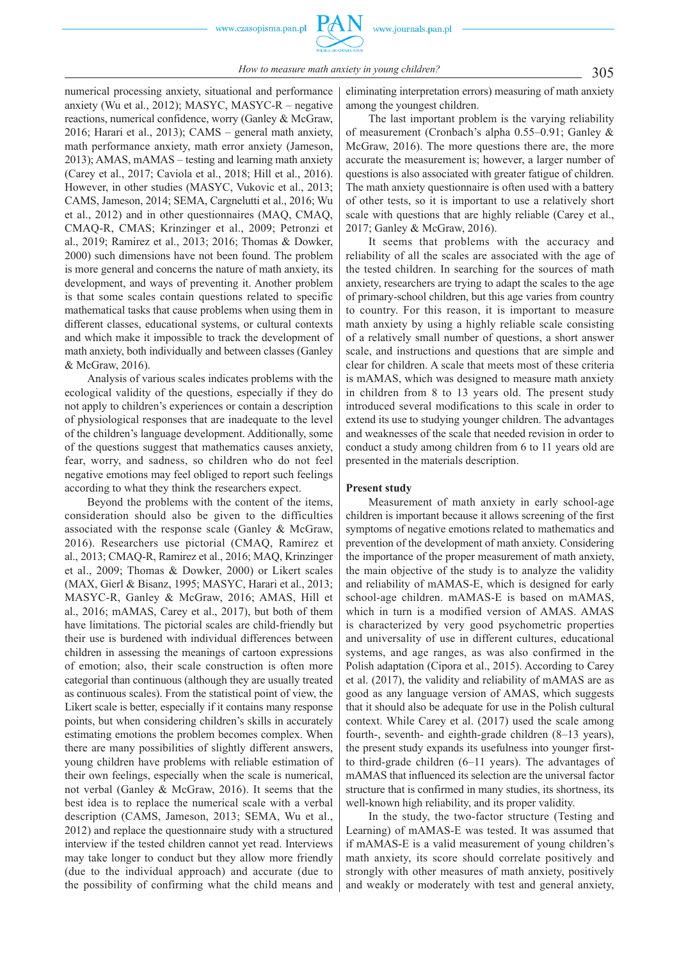

305 *How to measure math anxiety in young children?*

numerical processing anxiety, situational and performance anxiety (Wu et al., 2012); MASYC, MASYC-R – negative reactions, numerical confidence, worry (Ganley & McGraw, 2016; Harari et al., 2013); CAMS – general math anxiety, math performance anxiety, math error anxiety (Jameson, 2013); AMAS, mAMAS – testing and learning math anxiety (Carey et al., 2017; Caviola et al., 2018; Hill et al., 2016). However, in other studies (MASYC, Vukovic et al., 2013; CAMS, Jameson, 2014; SEMA, Cargnelutti et al., 2016; Wu et al., 2012) and in other questionnaires (MAQ, CMAQ, CMAQ-R, CMAS; Krinzinger et al., 2009; Petronzi et al., 2019; Ramirez et al., 2013; 2016; Thomas & Dowker, 2000) such dimensions have not been found. The problem is more general and concerns the nature of math anxiety, its development, and ways of preventing it. Another problem is that some scales contain questions related to specific mathematical tasks that cause problems when using them in different classes, educational systems, or cultural contexts and which make it impossible to track the development of math anxiety, both individually and between classes (Ganley & McGraw, 2016).

Analysis of various scales indicates problems with the ecological validity of the questions, especially if they do not apply to children's experiences or contain a description of physiological responses that are inadequate to the level of the children's language development. Additionally, some of the questions suggest that mathematics causes anxiety, fear, worry, and sadness, so children who do not feel negative emotions may feel obliged to report such feelings according to what they think the researchers expect.

Beyond the problems with the content of the items, consideration should also be given to the difficulties associated with the response scale (Ganley & McGraw, 2016). Researchers use pictorial (CMAQ, Ramirez et al., 2013; CMAQ-R, Ramirez et al., 2016; MAQ, Krinzinger et al., 2009; Thomas & Dowker, 2000) or Likert scales (MAX, Gierl & Bisanz, 1995; MASYC, Harari et al., 2013; MASYC-R, Ganley & McGraw, 2016; AMAS, Hill et al., 2016; mAMAS, Carey et al., 2017), but both of them have limitations. The pictorial scales are child-friendly but their use is burdened with individual differences between children in assessing the meanings of cartoon expressions of emotion; also, their scale construction is often more categorial than continuous (although they are usually treated as continuous scales). From the statistical point of view, the Likert scale is better, especially if it contains many response points, but when considering children's skills in accurately estimating emotions the problem becomes complex. When there are many possibilities of slightly different answers, young children have problems with reliable estimation of their own feelings, especially when the scale is numerical, not verbal (Ganley & McGraw, 2016). It seems that the best idea is to replace the numerical scale with a verbal description (CAMS, Jameson, 2013; SEMA, Wu et al., 2012) and replace the questionnaire study with a structured interview if the tested children cannot yet read. Interviews may take longer to conduct but they allow more friendly (due to the individual approach) and accurate (due to the possibility of confirming what the child means and eliminating interpretation errors) measuring of math anxiety among the youngest children.

The last important problem is the varying reliability of measurement (Cronbach's alpha 0.55–0.91; Ganley & McGraw, 2016). The more questions there are, the more accurate the measurement is; however, a larger number of questions is also associated with greater fatigue of children. The math anxiety questionnaire is often used with a battery of other tests, so it is important to use a relatively short scale with questions that are highly reliable (Carey et al., 2017; Ganley & McGraw, 2016).

It seems that problems with the accuracy and reliability of all the scales are associated with the age of the tested children. In searching for the sources of math anxiety, researchers are trying to adapt the scales to the age of primary-school children, but this age varies from country to country. For this reason, it is important to measure math anxiety by using a highly reliable scale consisting of a relatively small number of questions, a short answer scale, and instructions and questions that are simple and clear for children. A scale that meets most of these criteria is mAMAS, which was designed to measure math anxiety in children from 8 to 13 years old. The present study introduced several modifications to this scale in order to extend its use to studying younger children. The advantages and weaknesses of the scale that needed revision in order to conduct a study among children from 6 to 11 years old are presented in the materials description.

#### **Present study**

Measurement of math anxiety in early school-age children is important because it allows screening of the first symptoms of negative emotions related to mathematics and prevention of the development of math anxiety. Considering the importance of the proper measurement of math anxiety, the main objective of the study is to analyze the validity and reliability of mAMAS-E, which is designed for early school-age children. mAMAS-E is based on mAMAS, which in turn is a modified version of AMAS. AMAS is characterized by very good psychometric properties and universality of use in different cultures, educational systems, and age ranges, as was also confirmed in the Polish adaptation (Cipora et al., 2015). According to Carey et al. (2017), the validity and reliability of mAMAS are as good as any language version of AMAS, which suggests that it should also be adequate for use in the Polish cultural context. While Carey et al. (2017) used the scale among fourth-, seventh- and eighth-grade children (8–13 years), the present study expands its usefulness into younger firstto third-grade children (6–11 years). The advantages of mAMAS that influenced its selection are the universal factor structure that is confirmed in many studies, its shortness, its well-known high reliability, and its proper validity.

In the study, the two-factor structure (Testing and Learning) of mAMAS-E was tested. It was assumed that if mAMAS-E is a valid measurement of young children's math anxiety, its score should correlate positively and strongly with other measures of math anxiety, positively and weakly or moderately with test and general anxiety,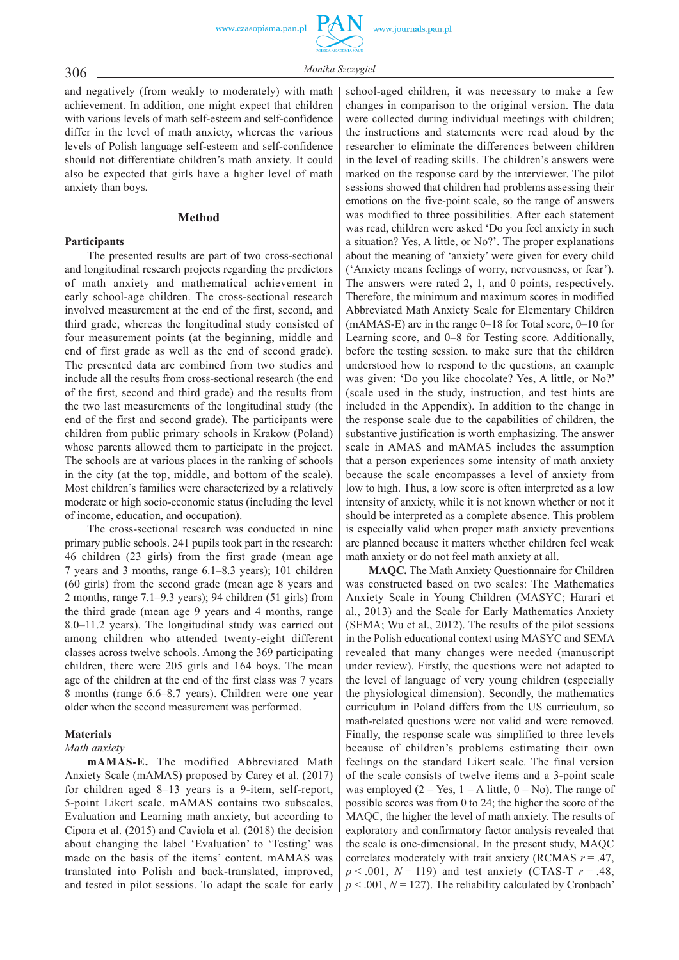## 306 *Monika Szczygie<sup>ł</sup>*

and negatively (from weakly to moderately) with math achievement. In addition, one might expect that children with various levels of math self-esteem and self-confidence differ in the level of math anxiety, whereas the various levels of Polish language self-esteem and self-confidence should not differentiate children's math anxiety. It could also be expected that girls have a higher level of math anxiety than boys.

## **Method**

### **Participants**

The presented results are part of two cross-sectional and longitudinal research projects regarding the predictors of math anxiety and mathematical achievement in early school-age children. The cross-sectional research involved measurement at the end of the first, second, and third grade, whereas the longitudinal study consisted of four measurement points (at the beginning, middle and end of first grade as well as the end of second grade). The presented data are combined from two studies and include all the results from cross-sectional research (the end of the first, second and third grade) and the results from the two last measurements of the longitudinal study (the end of the first and second grade). The participants were children from public primary schools in Krakow (Poland) whose parents allowed them to participate in the project. The schools are at various places in the ranking of schools in the city (at the top, middle, and bottom of the scale). Most children's families were characterized by a relatively moderate or high socio-economic status (including the level of income, education, and occupation).

The cross-sectional research was conducted in nine primary public schools. 241 pupils took part in the research: 46 children (23 girls) from the first grade (mean age 7 years and 3 months, range 6.1–8.3 years); 101 children (60 girls) from the second grade (mean age 8 years and 2 months, range 7.1–9.3 years); 94 children (51 girls) from the third grade (mean age 9 years and 4 months, range 8.0–11.2 years). The longitudinal study was carried out among children who attended twenty-eight different classes across twelve schools. Among the 369 participating children, there were 205 girls and 164 boys. The mean age of the children at the end of the first class was 7 years 8 months (range 6.6–8.7 years). Children were one year older when the second measurement was performed.

### **Materials**

#### *Math anxiety*

**mAMAS-E.** The modified Abbreviated Math Anxiety Scale (mAMAS) proposed by Carey et al. (2017) for children aged 8–13 years is a 9-item, self-report, 5-point Likert scale. mAMAS contains two subscales, Evaluation and Learning math anxiety, but according to Cipora et al. (2015) and Caviola et al. (2018) the decision about changing the label 'Evaluation' to 'Testing' was made on the basis of the items' content. mAMAS was translated into Polish and back-translated, improved, and tested in pilot sessions. To adapt the scale for early

school-aged children, it was necessary to make a few changes in comparison to the original version. The data were collected during individual meetings with children; the instructions and statements were read aloud by the researcher to eliminate the differences between children in the level of reading skills. The children's answers were marked on the response card by the interviewer. The pilot sessions showed that children had problems assessing their emotions on the five-point scale, so the range of answers was modified to three possibilities. After each statement was read, children were asked 'Do you feel anxiety in such a situation? Yes, A little, or No?'. The proper explanations about the meaning of 'anxiety' were given for every child ('Anxiety means feelings of worry, nervousness, or fear'). The answers were rated 2, 1, and 0 points, respectively. Therefore, the minimum and maximum scores in modified Abbreviated Math Anxiety Scale for Elementary Children (mAMAS-E) are in the range 0–18 for Total score, 0–10 for Learning score, and 0–8 for Testing score. Additionally, before the testing session, to make sure that the children understood how to respond to the questions, an example was given: 'Do you like chocolate? Yes, A little, or No?' (scale used in the study, instruction, and test hints are included in the Appendix). In addition to the change in the response scale due to the capabilities of children, the substantive justification is worth emphasizing. The answer scale in AMAS and mAMAS includes the assumption that a person experiences some intensity of math anxiety because the scale encompasses a level of anxiety from low to high. Thus, a low score is often interpreted as a low intensity of anxiety, while it is not known whether or not it should be interpreted as a complete absence. This problem is especially valid when proper math anxiety preventions are planned because it matters whether children feel weak math anxiety or do not feel math anxiety at all.

**MAQC.** The Math Anxiety Questionnaire for Children was constructed based on two scales: The Mathematics Anxiety Scale in Young Children (MASYC; Harari et al., 2013) and the Scale for Early Mathematics Anxiety (SEMA; Wu et al., 2012). The results of the pilot sessions in the Polish educational context using MASYC and SEMA revealed that many changes were needed (manuscript under review). Firstly, the questions were not adapted to the level of language of very young children (especially the physiological dimension). Secondly, the mathematics curriculum in Poland differs from the US curriculum, so math-related questions were not valid and were removed. Finally, the response scale was simplified to three levels because of children's problems estimating their own feelings on the standard Likert scale. The final version of the scale consists of twelve items and a 3-point scale was employed  $(2 - Yes, 1 - A little, 0 - No)$ . The range of possible scores was from 0 to 24; the higher the score of the MAQC, the higher the level of math anxiety. The results of exploratory and confirmatory factor analysis revealed that the scale is one-dimensional. In the present study, MAQC correlates moderately with trait anxiety (RCMAS *r* = .47,  $p < .001$ ,  $N = 119$ ) and test anxiety (CTAS-T  $r = .48$ ,  $p < .001$ ,  $N = 127$ ). The reliability calculated by Cronbach<sup>3</sup>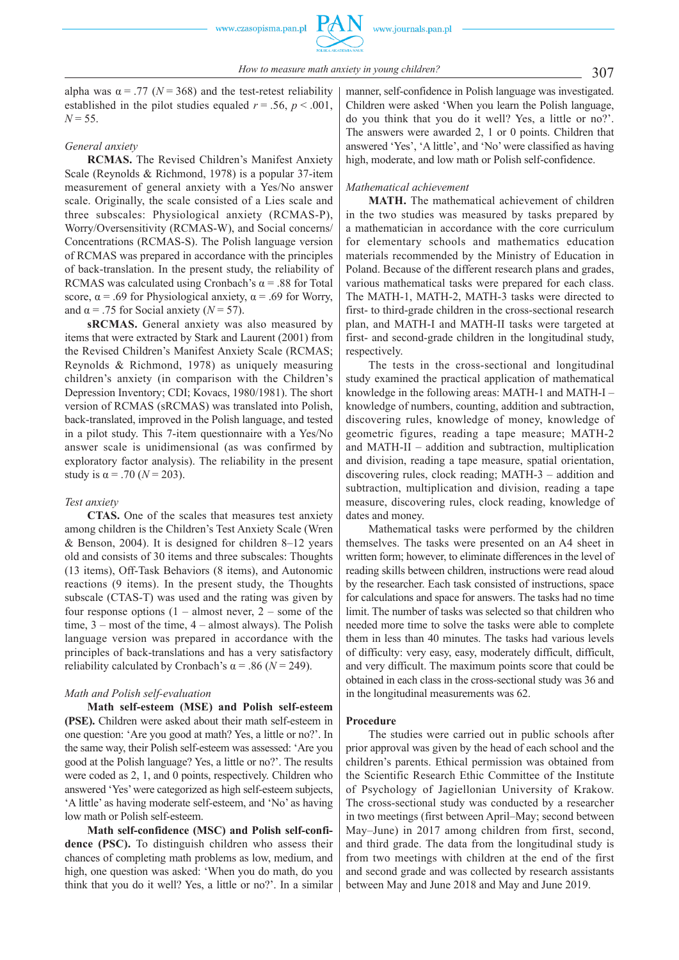alpha was  $\alpha = .77$  ( $N = 368$ ) and the test-retest reliability established in the pilot studies equaled  $r = .56$ ,  $p < .001$ ,  $N = 55$ .

#### *General anxiety*

**RCMAS.** The Revised Children's Manifest Anxiety Scale (Reynolds & Richmond, 1978) is a popular 37-item measurement of general anxiety with a Yes/No answer scale. Originally, the scale consisted of a Lies scale and three subscales: Physiological anxiety (RCMAS-P), Worry/Oversensitivity (RCMAS-W), and Social concerns/ Concentrations (RCMAS-S). The Polish language version of RCMAS was prepared in accordance with the principles of back-translation. In the present study, the reliability of RCMAS was calculated using Cronbach's  $\alpha$  = .88 for Total score,  $\alpha$  = .69 for Physiological anxiety,  $\alpha$  = .69 for Worry, and  $\alpha$  = .75 for Social anxiety ( $N = 57$ ).

**sRCMAS.** General anxiety was also measured by items that were extracted by Stark and Laurent (2001) from the Revised Children's Manifest Anxiety Scale (RCMAS; Reynolds & Richmond, 1978) as uniquely measuring children's anxiety (in comparison with the Children's Depression Inventory; CDI; Kovacs, 1980/1981). The short version of RCMAS (sRCMAS) was translated into Polish, back-translated, improved in the Polish language, and tested in a pilot study. This 7-item questionnaire with a Yes/No answer scale is unidimensional (as was confirmed by exploratory factor analysis). The reliability in the present study is  $\alpha = .70$  ( $N = 203$ ).

#### *Test anxiety*

**CTAS.** One of the scales that measures test anxiety among children is the Children's Test Anxiety Scale (Wren & Benson, 2004). It is designed for children 8–12 years old and consists of 30 items and three subscales: Thoughts (13 items), Off-Task Behaviors (8 items), and Autonomic reactions (9 items). In the present study, the Thoughts subscale (CTAS-T) was used and the rating was given by four response options  $(1 - \text{almost never}, 2 - \text{some of the})$ time, 3 – most of the time, 4 – almost always). The Polish language version was prepared in accordance with the principles of back-translations and has a very satisfactory reliability calculated by Cronbach's  $\alpha$  = .86 ( $N$  = 249).

#### *Math and Polish self-evaluation*

**Math self-esteem (MSE) and Polish self-esteem (PSE).** Children were asked about their math self-esteem in one question: 'Are you good at math? Yes, a little or no?'. In the same way, their Polish self-esteem was assessed: 'Are you good at the Polish language? Yes, a little or no?'. The results were coded as 2, 1, and 0 points, respectively. Children who answered 'Yes' were categorized as high self-esteem subjects, 'A little' as having moderate self-esteem, and 'No' as having low math or Polish self-esteem.

**Math self-confidence (MSC) and Polish self-confidence (PSC).** To distinguish children who assess their chances of completing math problems as low, medium, and high, one question was asked: 'When you do math, do you think that you do it well? Yes, a little or no?'. In a similar manner, self-confidence in Polish language was investigated. Children were asked 'When you learn the Polish language, do you think that you do it well? Yes, a little or no?'. The answers were awarded 2, 1 or 0 points. Children that answered 'Yes', 'A little', and 'No' were classified as having high, moderate, and low math or Polish self-confidence.

#### *Mathematical achievement*

**MATH.** The mathematical achievement of children in the two studies was measured by tasks prepared by a mathematician in accordance with the core curriculum for elementary schools and mathematics education materials recommended by the Ministry of Education in Poland. Because of the different research plans and grades, various mathematical tasks were prepared for each class. The MATH-1, MATH-2, MATH-3 tasks were directed to first- to third-grade children in the cross-sectional research plan, and MATH-I and MATH-II tasks were targeted at first- and second-grade children in the longitudinal study, respectively.

The tests in the cross-sectional and longitudinal study examined the practical application of mathematical knowledge in the following areas: MATH-1 and MATH-I – knowledge of numbers, counting, addition and subtraction, discovering rules, knowledge of money, knowledge of geometric figures, reading a tape measure; MATH-2 and MATH-II – addition and subtraction, multiplication and division, reading a tape measure, spatial orientation, discovering rules, clock reading; MATH-3 – addition and subtraction, multiplication and division, reading a tape measure, discovering rules, clock reading, knowledge of dates and money.

Mathematical tasks were performed by the children themselves. The tasks were presented on an A4 sheet in written form; however, to eliminate differences in the level of reading skills between children, instructions were read aloud by the researcher. Each task consisted of instructions, space for calculations and space for answers. The tasks had no time limit. The number of tasks was selected so that children who needed more time to solve the tasks were able to complete them in less than 40 minutes. The tasks had various levels of difficulty: very easy, easy, moderately difficult, difficult, and very difficult. The maximum points score that could be obtained in each class in the cross-sectional study was 36 and in the longitudinal measurements was 62.

#### **Procedure**

The studies were carried out in public schools after prior approval was given by the head of each school and the children's parents. Ethical permission was obtained from the Scientific Research Ethic Committee of the Institute of Psychology of Jagiellonian University of Krakow. The cross-sectional study was conducted by a researcher in two meetings (first between April–May; second between May–June) in 2017 among children from first, second, and third grade. The data from the longitudinal study is from two meetings with children at the end of the first and second grade and was collected by research assistants between May and June 2018 and May and June 2019.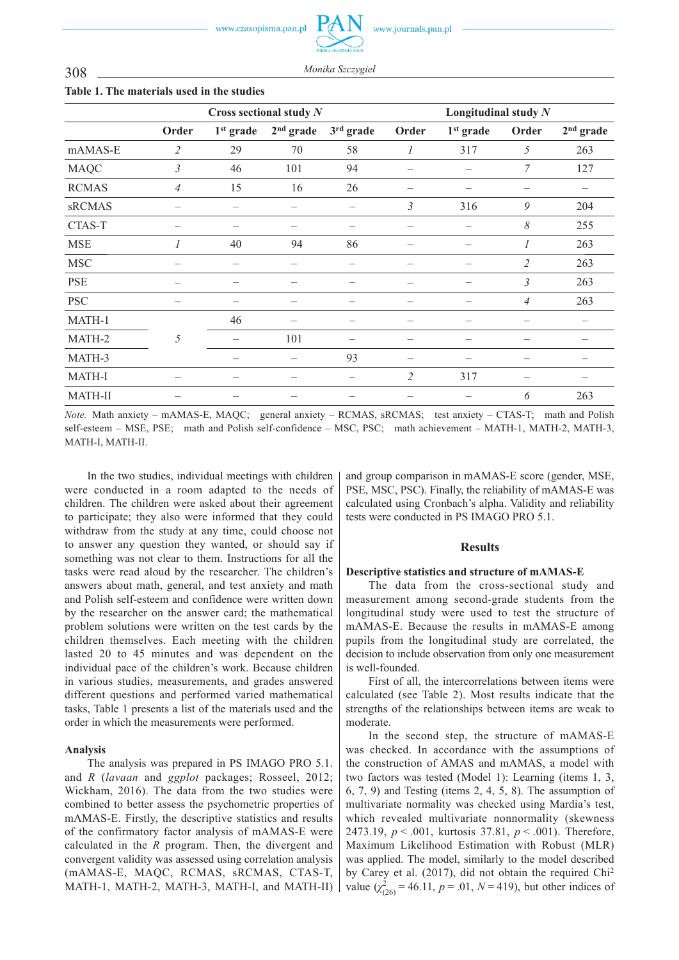www.journals.pan.pl

308 *Monika Szczygie<sup>ł</sup>*

|                |                          | Cross sectional study $N$ |             | Longitudinal study $N$   |                |             |                |             |
|----------------|--------------------------|---------------------------|-------------|--------------------------|----------------|-------------|----------------|-------------|
|                | Order                    | $1st$ grade               | $2nd$ grade | 3rd grade                | Order          | $1st$ grade | Order          | $2nd$ grade |
| mAMAS-E        | $\overline{2}$           | 29                        | 70          | 58                       | 1              | 317         | 5              | 263         |
| <b>MAQC</b>    | $\mathfrak{Z}$           | 46                        | 101         | 94                       |                |             | 7              | 127         |
| <b>RCMAS</b>   | $\overline{4}$           | 15                        | 16          | 26                       |                |             |                |             |
| sRCMAS         |                          |                           |             |                          | 3              | 316         | 9              | 204         |
| CTAS-T         |                          |                           |             |                          |                |             | 8              | 255         |
| <b>MSE</b>     | $\overline{I}$           | 40                        | 94          | 86                       |                |             | 1              | 263         |
| <b>MSC</b>     |                          |                           |             | -                        |                |             | $\mathfrak{2}$ | 263         |
| <b>PSE</b>     |                          |                           |             |                          |                |             | $\overline{3}$ | 263         |
| <b>PSC</b>     |                          |                           |             |                          |                |             | $\overline{4}$ | 263         |
| MATH-1         |                          | 46                        |             |                          |                |             |                |             |
| MATH-2         | 5                        |                           | 101         | -                        |                |             |                |             |
| MATH-3         |                          |                           |             | 93                       |                |             |                |             |
| <b>MATH-I</b>  | $\overline{\phantom{0}}$ | —                         |             | $\overline{\phantom{0}}$ | $\overline{2}$ | 317         |                |             |
| <b>MATH-II</b> |                          |                           |             |                          |                |             | 6              | 263         |

#### **Table 1. The materials used in the studies**

*Note.* Math anxiety – mAMAS-E, MAQC; general anxiety – RCMAS, sRCMAS; test anxiety – CTAS-T; math and Polish self-esteem – MSE, PSE; math and Polish self-confidence – MSC, PSC; math achievement – MATH-1, MATH-2, MATH-3, MATH-I, MATH-II.

In the two studies, individual meetings with children were conducted in a room adapted to the needs of children. The children were asked about their agreement to participate; they also were informed that they could withdraw from the study at any time, could choose not to answer any question they wanted, or should say if something was not clear to them. Instructions for all the tasks were read aloud by the researcher. The children's answers about math, general, and test anxiety and math and Polish self-esteem and confidence were written down by the researcher on the answer card; the mathematical problem solutions were written on the test cards by the children themselves. Each meeting with the children lasted 20 to 45 minutes and was dependent on the individual pace of the children's work. Because children in various studies, measurements, and grades answered different questions and performed varied mathematical tasks, Table 1 presents a list of the materials used and the order in which the measurements were performed.

## **Analysis**

The analysis was prepared in PS IMAGO PRO 5.1. and *R* (*lavaan* and *ggplot* packages; Rosseel, 2012; Wickham, 2016). The data from the two studies were combined to better assess the psychometric properties of mAMAS-E. Firstly, the descriptive statistics and results of the confirmatory factor analysis of mAMAS-E were calculated in the *R* program. Then, the divergent and convergent validity was assessed using correlation analysis (mAMAS-E, MAQC, RCMAS, sRCMAS, CTAS-T, MATH-1, MATH-2, MATH-3, MATH-I, and MATH-II)

and group comparison in mAMAS-E score (gender, MSE, PSE, MSC, PSC). Finally, the reliability of mAMAS-E was calculated using Cronbach's alpha. Validity and reliability tests were conducted in PS IMAGO PRO 5.1.

### **Results**

### **Descriptive statistics and structure of mAMAS-E**

The data from the cross-sectional study and measurement among second-grade students from the longitudinal study were used to test the structure of mAMAS-E. Because the results in mAMAS-E among pupils from the longitudinal study are correlated, the decision to include observation from only one measurement is well-founded.

First of all, the intercorrelations between items were calculated (see Table 2). Most results indicate that the strengths of the relationships between items are weak to moderate.

In the second step, the structure of mAMAS-E was checked. In accordance with the assumptions of the construction of AMAS and mAMAS, a model with two factors was tested (Model 1): Learning (items 1, 3, 6, 7, 9) and Testing (items 2, 4, 5, 8). The assumption of multivariate normality was checked using Mardia's test, which revealed multivariate nonnormality (skewness 2473.19, *p* < .001, kurtosis 37.81, *p* < .001). Therefore, Maximum Likelihood Estimation with Robust (MLR) was applied. The model, similarly to the model described by Carey et al. (2017), did not obtain the required Chi2 value  $(\chi^2_{(26)} = 46.11, p = .01, N = 419)$ , but other indices of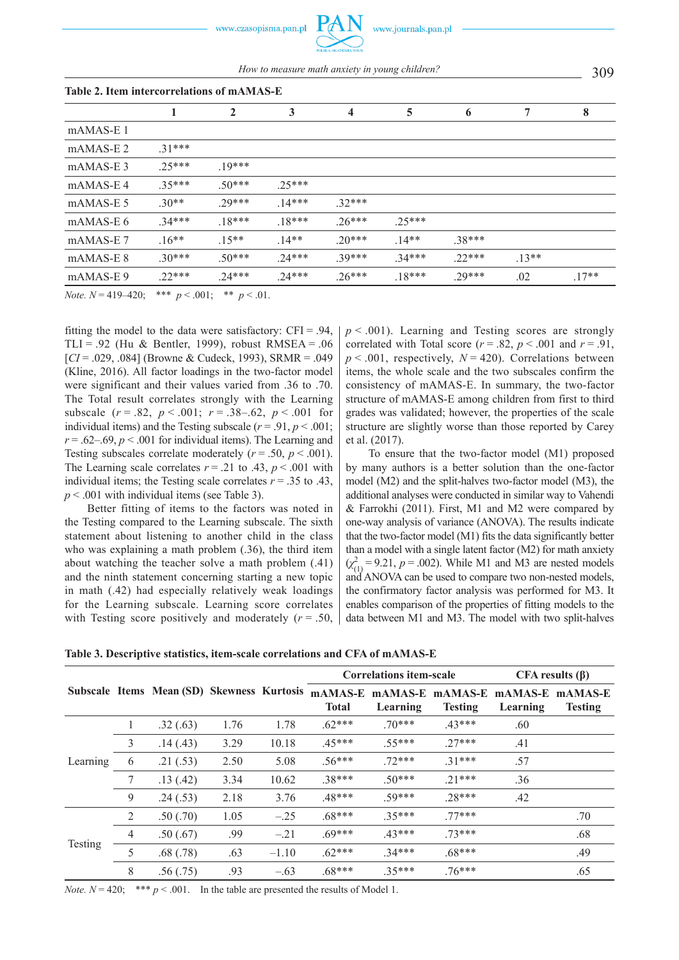309 *How to measure math anxiety in young children?*

| Table 2. Item intercorrelations of mAMAS-E |          |              |         |         |          |         |        |         |
|--------------------------------------------|----------|--------------|---------|---------|----------|---------|--------|---------|
|                                            |          | $\mathbf{2}$ | 3       | 4       | 5        | 6       | 7      | 8       |
| $mAMAS-E1$                                 |          |              |         |         |          |         |        |         |
| $mAMAS-E2$                                 | $31***$  |              |         |         |          |         |        |         |
| mAMAS-E3                                   | $25***$  | $19***$      |         |         |          |         |        |         |
| mAMAS-E4                                   | $35***$  | $50***$      | $25***$ |         |          |         |        |         |
| mAMAS-E 5                                  | $30**$   | $29***$      | $14***$ | $32***$ |          |         |        |         |
| mAMAS-E 6                                  | $.34***$ | $.18***$     | $18***$ | $26***$ | $25***$  |         |        |         |
| mAMAS-E7                                   | $.16**$  | $.15**$      | $14**$  | $20***$ | $14**$   | $38***$ |        |         |
| mAMAS-E 8                                  | $30***$  | $.50***$     | $24***$ | 39***   | $.34***$ | $22***$ | $13**$ |         |
| mAMAS-E9                                   | $22***$  | $24***$      | $24***$ | $26***$ | $18***$  | $29***$ | .02    | $.17**$ |

*Note.*  $N = 419-420$ ; \*\*\*  $p < .001$ ; \*\*  $p < .01$ .

fitting the model to the data were satisfactory:  $CFI = .94$ , TLI = .92 (Hu & Bentler, 1999), robust RMSEA = .06 [*CI* = .029, .084] (Browne & Cudeck, 1993), SRMR = .049 (Kline, 2016). All factor loadings in the two-factor model were significant and their values varied from .36 to .70. The Total result correlates strongly with the Learning subscale  $(r = .82, p < .001; r = .38-.62, p < .001$  for individual items) and the Testing subscale  $(r = .91, p < .001)$ ;  $r = 0.62 - 0.69$ ,  $p < 0.001$  for individual items). The Learning and Testing subscales correlate moderately  $(r = .50, p < .001)$ . The Learning scale correlates  $r = .21$  to .43,  $p < .001$  with individual items; the Testing scale correlates  $r = .35$  to .43, *p* < .001 with individual items (see Table 3).

Better fitting of items to the factors was noted in the Testing compared to the Learning subscale. The sixth statement about listening to another child in the class who was explaining a math problem  $(.36)$ , the third item about watching the teacher solve a math problem (.41) and the ninth statement concerning starting a new topic in math (.42) had especially relatively weak loadings for the Learning subscale. Learning score correlates with Testing score positively and moderately  $(r = .50)$ ,  $p \leq 0.001$ ). Learning and Testing scores are strongly correlated with Total score  $(r = .82, p < .001$  and  $r = .91$ ,  $p \le 0.001$ , respectively,  $N = 420$ ). Correlations between items, the whole scale and the two subscales confirm the consistency of mAMAS-E. In summary, the two-factor structure of mAMAS-E among children from first to third grades was validated; however, the properties of the scale structure are slightly worse than those reported by Carey et al. (2017).

To ensure that the two-factor model (M1) proposed by many authors is a better solution than the one-factor model (M2) and the split-halves two-factor model (M3), the additional analyses were conducted in similar way to Vahendi & Farrokhi (2011). First, M1 and M2 were compared by one-way analysis of variance (ANOVA). The results indicate that the two-factor model (M1) fits the data significantly better than a model with a single latent factor (M2) for math anxiety  $(\chi^2_{(1)} = 9.21, p = .002)$ . While M1 and M3 are nested models and ANOVA can be used to compare two non-nested models, the confirmatory factor analysis was performed for M3. It enables comparison of the properties of fitting models to the data between M1 and M3. The model with two split-halves

**Table 3. Descriptive statistics, item-scale correlations and CFA of mAMAS-E** 

|          |                | Subscale Items Mean (SD) Skewness Kurtosis |      |         | <b>Correlations item-scale</b> |                     |                           | $CFA$ results $(\beta)$     |                |
|----------|----------------|--------------------------------------------|------|---------|--------------------------------|---------------------|---------------------------|-----------------------------|----------------|
|          |                |                                            |      |         | mAMAS-E<br><b>Total</b>        | mAMAS-E<br>Learning | mAMAS-E<br><b>Testing</b> | mAMAS-E mAMAS-E<br>Learning | <b>Testing</b> |
| Learning |                | .32(.63)                                   | 1.76 | 1.78    | $.62***$                       | $70***$             | $43***$                   | .60                         |                |
|          | 3              | .14(.43)                                   | 3.29 | 10.18   | $45***$                        | 55***               | $27***$                   | .41                         |                |
|          | 6              | .21(.53)                                   | 2.50 | 5.08    | 56***                          | $72***$             | $31***$                   | .57                         |                |
|          |                | .13(.42)                                   | 3.34 | 10.62   | $38***$                        | $50***$             | $21***$                   | .36                         |                |
|          | 9              | .24(.53)                                   | 2.18 | 3.76    | $48***$                        | 59***               | $28***$                   | .42                         |                |
| Testing  | 2              | .50(.70)                                   | 1.05 | $-.25$  | 68***                          | $35***$             | $77***$                   |                             | .70            |
|          | $\overline{4}$ | .50(.67)                                   | .99  | $-.21$  | $69***$                        | $43***$             | $73***$                   |                             | .68            |
|          | 5              | .68(.78)                                   | .63  | $-1.10$ | $62***$                        | $34***$             | $.68***$                  |                             | .49            |
|          | 8              | .56(.75)                                   | .93  | $-.63$  | $.68***$                       | $35***$             | $76***$                   |                             | .65            |

*Note.*  $N = 420$ ; \*\*\*  $p < .001$ . In the table are presented the results of Model 1.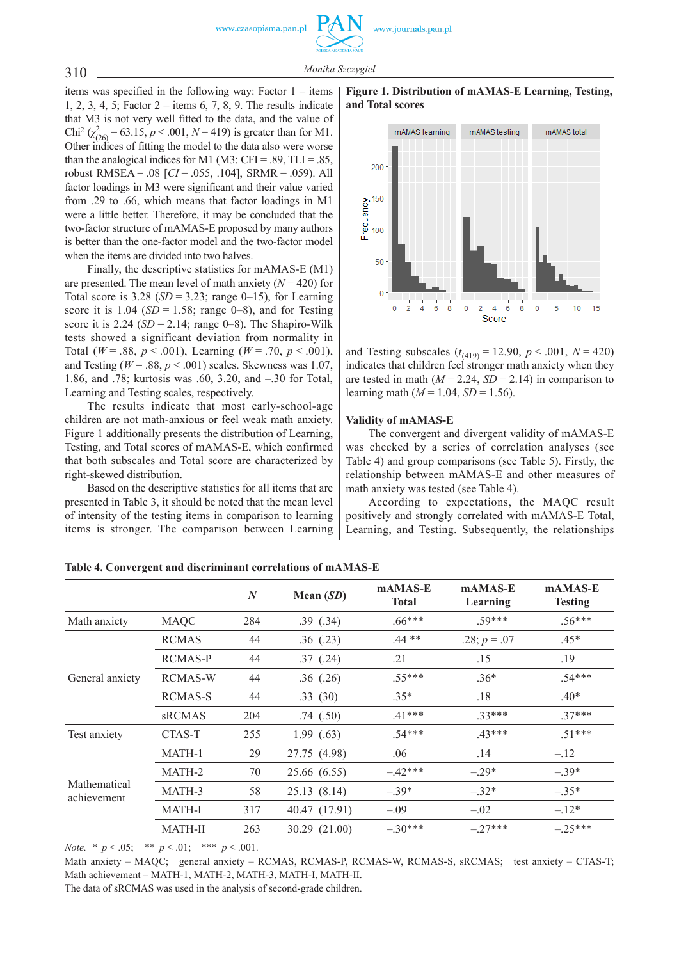

www.journals.pan.pl

items was specified in the following way: Factor 1 – items 1, 2, 3, 4, 5; Factor 2 – items 6, 7, 8, 9. The results indicate that M3 is not very well fitted to the data, and the value of Chi<sup>2</sup> ( $\chi^2_{(26)}$  = 63.15, *p* < .001, *N* = 419) is greater than for M1. Other indices of fitting the model to the data also were worse than the analogical indices for M1 (M3: CFI = .89, TLI = .85, robust RMSEA = .08 [*CI* = .055, .104], SRMR = .059). All factor loadings in M3 were significant and their value varied from .29 to .66, which means that factor loadings in M1 were a little better. Therefore, it may be concluded that the two-factor structure of mAMAS-E proposed by many authors is better than the one-factor model and the two-factor model when the items are divided into two halves.

Finally, the descriptive statistics for mAMAS-E (M1) are presented. The mean level of math anxiety  $(N = 420)$  for Total score is  $3.28$  (*SD* =  $3.23$ ; range 0–15), for Learning score it is  $1.04$  (*SD* = 1.58; range 0–8), and for Testing score it is  $2.24$  ( $SD = 2.14$ ; range 0–8). The Shapiro-Wilk tests showed a significant deviation from normality in Total ( $W = .88$ ,  $p < .001$ ), Learning ( $W = .70$ ,  $p < .001$ ), and Testing ( $W = .88$ ,  $p < .001$ ) scales. Skewness was 1.07, 1.86, and .78; kurtosis was .60, 3.20, and –.30 for Total, Learning and Testing scales, respectively.

The results indicate that most early-school-age children are not math-anxious or feel weak math anxiety. Figure 1 additionally presents the distribution of Learning, Testing, and Total scores of mAMAS-E, which confirmed that both subscales and Total score are characterized by right-skewed distribution.

Based on the descriptive statistics for all items that are presented in Table 3, it should be noted that the mean level of intensity of the testing items in comparison to learning items is stronger. The comparison between Learning





and Testing subscales  $(t_{(419)} = 12.90, p < .001, N = 420)$ indicates that children feel stronger math anxiety when they are tested in math  $(M = 2.24, SD = 2.14)$  in comparison to learning math ( $M = 1.04$ ,  $SD = 1.56$ ).

#### **Validity of mAMAS-E**

The convergent and divergent validity of mAMAS-E was checked by a series of correlation analyses (see Table 4) and group comparisons (see Table 5). Firstly, the relationship between mAMAS-E and other measures of math anxiety was tested (see Table 4).

According to expectations, the MAQC result positively and strongly correlated with mAMAS-E Total, Learning, and Testing. Subsequently, the relationships

|                             |                | N   | Mean $(SD)$   | mAMAS-E<br><b>Total</b> | mAMAS-E<br>Learning | mAMAS-E<br><b>Testing</b> |
|-----------------------------|----------------|-----|---------------|-------------------------|---------------------|---------------------------|
| Math anxiety                | <b>MAQC</b>    | 284 | .39(.34)      | $.66***$                | 59***               | $.56***$                  |
|                             | <b>RCMAS</b>   | 44  | .36(.23)      | $.44**$                 | .28; $p = .07$      | $.45*$                    |
|                             | RCMAS-P        | 44  | .37(.24)      | .21                     | .15                 | .19                       |
| General anxiety             | <b>RCMAS-W</b> | 44  | $.36$ $(.26)$ | $.55***$                | $.36*$              | $.54***$                  |
|                             | RCMAS-S        | 44  | .33(30)       | $.35*$                  | .18                 | $.40*$                    |
|                             | sRCMAS         | 204 | .74(.50)      | $41***$                 | $33***$             | $.37***$                  |
| Test anxiety                | CTAS-T         | 255 | 1.99(0.63)    | $.54***$                | $43***$             | $.51***$                  |
|                             | MATH-1         | 29  | 27.75 (4.98)  | .06                     | .14                 | $-.12$                    |
|                             | MATH-2         | 70  | 25.66 (6.55)  | $-42***$                | $-29*$              | $-.39*$                   |
| Mathematical<br>achievement | MATH-3         | 58  | 25.13(8.14)   | $-.39*$                 | $-.32*$             | $-.35*$                   |
|                             | <b>MATH-I</b>  | 317 | 40.47 (17.91) | $-.09$                  | $-.02$              | $-.12*$                   |
|                             | <b>MATH-II</b> | 263 | 30.29 (21.00) | $-.30***$               | $-27***$            | $-25***$                  |

**Table 4. Convergent and discriminant correlations of mAMAS-E**

*Note. \* p* < .05; *\*\* p* < .01; \*\*\* *p* < .001.

Math anxiety – MAQC; general anxiety – RCMAS, RCMAS-P, RCMAS-W, RCMAS-S, sRCMAS; test anxiety – CTAS-T; Math achievement – MATH-1, MATH-2, MATH-3, MATH-I, MATH-II.

The data of sRCMAS was used in the analysis of second-grade children.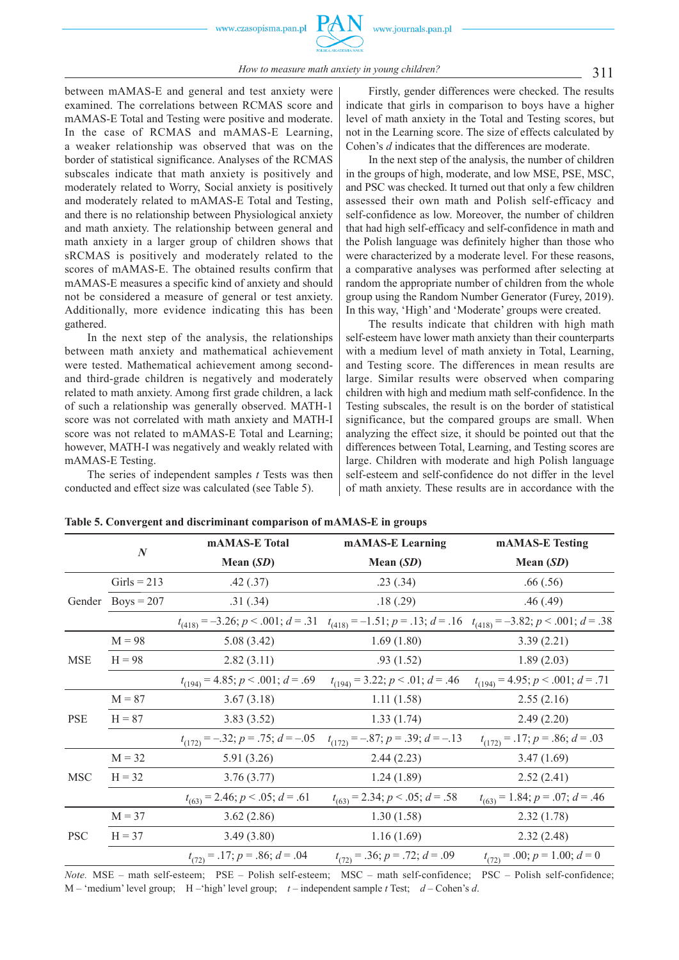

*How to measure math anxiety in young children?* 311

between mAMAS-E and general and test anxiety were examined. The correlations between RCMAS score and mAMAS-E Total and Testing were positive and moderate. In the case of RCMAS and mAMAS-E Learning, a weaker relationship was observed that was on the border of statistical significance. Analyses of the RCMAS subscales indicate that math anxiety is positively and moderately related to Worry, Social anxiety is positively and moderately related to mAMAS-E Total and Testing, and there is no relationship between Physiological anxiety and math anxiety. The relationship between general and math anxiety in a larger group of children shows that sRCMAS is positively and moderately related to the scores of mAMAS-E. The obtained results confirm that mAMAS-E measures a specific kind of anxiety and should not be considered a measure of general or test anxiety. Additionally, more evidence indicating this has been gathered.

In the next step of the analysis, the relationships between math anxiety and mathematical achievement were tested. Mathematical achievement among secondand third-grade children is negatively and moderately related to math anxiety. Among first grade children, a lack of such a relationship was generally observed. MATH-1 score was not correlated with math anxiety and MATH-I score was not related to mAMAS-E Total and Learning; however, MATH-I was negatively and weakly related with mAMAS-E Testing.

The series of independent samples *t* Tests was then conducted and effect size was calculated (see Table 5).

Firstly, gender differences were checked. The results indicate that girls in comparison to boys have a higher level of math anxiety in the Total and Testing scores, but not in the Learning score. The size of effects calculated by Cohen's *d* indicates that the differences are moderate.

In the next step of the analysis, the number of children in the groups of high, moderate, and low MSE, PSE, MSC, and PSC was checked. It turned out that only a few children assessed their own math and Polish self-efficacy and self-confidence as low. Moreover, the number of children that had high self-efficacy and self-confidence in math and the Polish language was definitely higher than those who were characterized by a moderate level. For these reasons, a comparative analyses was performed after selecting at random the appropriate number of children from the whole group using the Random Number Generator (Furey, 2019). In this way, 'High' and 'Moderate' groups were created.

The results indicate that children with high math self-esteem have lower math anxiety than their counterparts with a medium level of math anxiety in Total, Learning, and Testing score. The differences in mean results are large. Similar results were observed when comparing children with high and medium math self-confidence. In the Testing subscales, the result is on the border of statistical significance, but the compared groups are small. When analyzing the effect size, it should be pointed out that the differences between Total, Learning, and Testing scores are large. Children with moderate and high Polish language self-esteem and self-confidence do not differ in the level of math anxiety. These results are in accordance with the

|            | $\boldsymbol{N}$    | mAMAS-E Total                                | mAMAS-E Learning                           | <b>mAMAS-E Testing</b>                                                                   |  |  |
|------------|---------------------|----------------------------------------------|--------------------------------------------|------------------------------------------------------------------------------------------|--|--|
|            |                     | Mean $(SD)$                                  | Mean $(SD)$                                | Mean $(SD)$                                                                              |  |  |
|            | Girls = $213$       | .42(.37)                                     | .23(.34)                                   | .66(.56)                                                                                 |  |  |
|            | Gender Boys = $207$ | .31(.34)                                     | .18(.29)                                   | .46(.49)                                                                                 |  |  |
|            |                     | $t_{(418)} = -3.26$ ; $p < .001$ ; $d = .31$ |                                            | $t_{(418)} = -1.51$ ; $p = .13$ ; $d = .16$ $t_{(418)} = -3.82$ ; $p < .001$ ; $d = .38$ |  |  |
|            | $M = 98$            | 5.08(3.42)                                   | 1.69(1.80)                                 | 3.39(2.21)                                                                               |  |  |
| <b>MSE</b> | $H = 98$            | 2.82(3.11)                                   | .93(1.52)                                  | 1.89(2.03)                                                                               |  |  |
|            |                     | $t_{(194)} = 4.85$ ; $p < .001$ ; $d = .69$  | $t_{(194)} = 3.22$ ; $p < .01$ ; $d = .46$ | $t_{(194)} = 4.95$ ; $p < .001$ ; $d = .71$                                              |  |  |
| <b>PSE</b> | $M = 87$            | 3.67(3.18)                                   | 1.11(1.58)                                 | 2.55(2.16)                                                                               |  |  |
|            | $H = 87$            | 3.83(3.52)                                   | 1.33(1.74)                                 | 2.49(2.20)                                                                               |  |  |
|            |                     | $t_{(172)} = -.32$ ; $p = .75$ ; $d = -.05$  | $t_{(172)} = -.87; p = .39; d = -.13$      | $t_{(172)} = .17; p = .86; d = .03$                                                      |  |  |
|            | $M = 32$            | 5.91 (3.26)                                  | 2.44(2.23)                                 | 3.47(1.69)                                                                               |  |  |
| <b>MSC</b> | $H = 32$            | 3.76(3.77)                                   | 1.24(1.89)                                 | 2.52(2.41)                                                                               |  |  |
|            |                     | $t_{(63)} = 2.46$ ; $p < .05$ ; $d = .61$    | $t_{(63)} = 2.34$ ; $p < .05$ ; $d = .58$  | $t_{(63)} = 1.84$ ; $p = .07$ ; $d = .46$                                                |  |  |
| <b>PSC</b> | $M = 37$            | 3.62(2.86)                                   | 1.30(1.58)                                 | 2.32(1.78)                                                                               |  |  |
|            | $H = 37$            | 3.49(3.80)                                   | 1.16(1.69)                                 | 2.32(2.48)                                                                               |  |  |
|            |                     | $t_{(72)} = .17; p = .86; d = .04$           | $t_{(72)} = .36$ ; $p = .72$ ; $d = .09$   | $t_{(72)} = .00; p = 1.00; d = 0$                                                        |  |  |

**Table 5. Convergent and discriminant comparison of mAMAS-E in groups** 

*Note.* MSE – math self-esteem; PSE – Polish self-esteem; MSC – math self-confidence; PSC – Polish self-confidence; M – 'medium' level group; H –'high' level group; *t* – independent sample *t* Test; *d –* Cohen's *d*.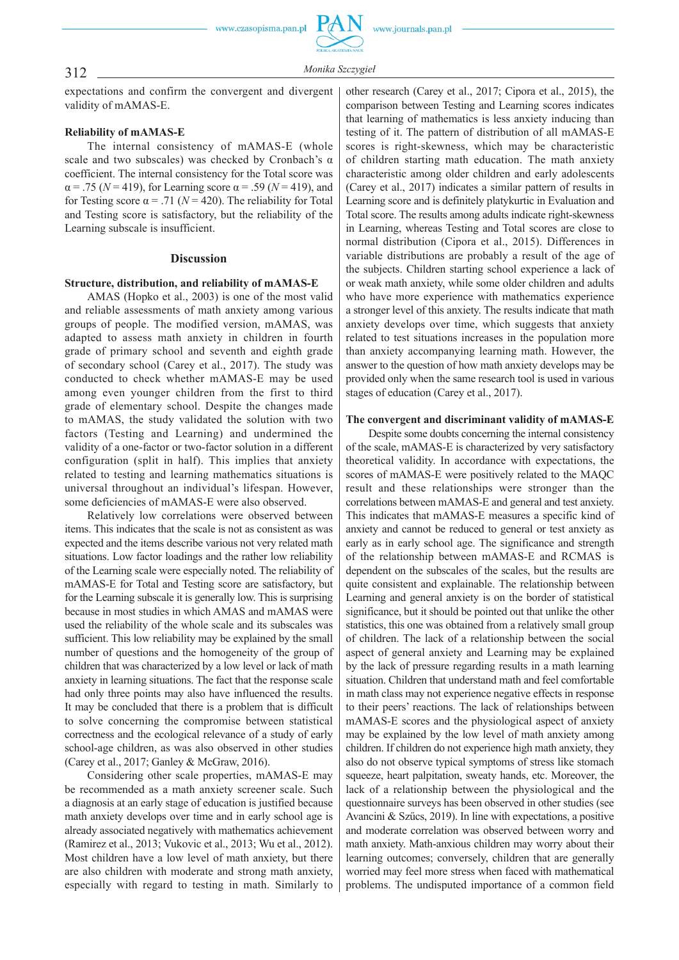

## 312 *Monika Szczygie<sup>ł</sup>*

expectations and confirm the convergent and divergent validity of mAMAS-E.

### **Reliability of mAMAS-E**

The internal consistency of mAMAS-E (whole scale and two subscales) was checked by Cronbach's  $\alpha$ coefficient. The internal consistency for the Total score was  $\alpha = .75$  ( $N = 419$ ), for Learning score  $\alpha = .59$  ( $N = 419$ ), and for Testing score  $\alpha$  = .71 ( $N$  = 420). The reliability for Total and Testing score is satisfactory, but the reliability of the Learning subscale is insufficient.

#### **Discussion**

#### **Structure, distribution, and reliability of mAMAS-E**

AMAS (Hopko et al., 2003) is one of the most valid and reliable assessments of math anxiety among various groups of people. The modified version, mAMAS, was adapted to assess math anxiety in children in fourth grade of primary school and seventh and eighth grade of secondary school (Carey et al., 2017). The study was conducted to check whether mAMAS-E may be used among even younger children from the first to third grade of elementary school. Despite the changes made to mAMAS, the study validated the solution with two factors (Testing and Learning) and undermined the validity of a one-factor or two-factor solution in a different configuration (split in half). This implies that anxiety related to testing and learning mathematics situations is universal throughout an individual's lifespan. However, some deficiencies of mAMAS-E were also observed.

Relatively low correlations were observed between items. This indicates that the scale is not as consistent as was expected and the items describe various not very related math situations. Low factor loadings and the rather low reliability of the Learning scale were especially noted. The reliability of mAMAS-E for Total and Testing score are satisfactory, but for the Learning subscale it is generally low. This is surprising because in most studies in which AMAS and mAMAS were used the reliability of the whole scale and its subscales was sufficient. This low reliability may be explained by the small number of questions and the homogeneity of the group of children that was characterized by a low level or lack of math anxiety in learning situations. The fact that the response scale had only three points may also have influenced the results. It may be concluded that there is a problem that is difficult to solve concerning the compromise between statistical correctness and the ecological relevance of a study of early school-age children, as was also observed in other studies (Carey et al., 2017; Ganley & McGraw, 2016).

Considering other scale properties, mAMAS-E may be recommended as a math anxiety screener scale. Such a diagnosis at an early stage of education is justified because math anxiety develops over time and in early school age is already associated negatively with mathematics achievement (Ramirez et al., 2013; Vukovic et al., 2013; Wu et al., 2012). Most children have a low level of math anxiety, but there are also children with moderate and strong math anxiety, especially with regard to testing in math. Similarly to other research (Carey et al., 2017; Cipora et al., 2015), the comparison between Testing and Learning scores indicates that learning of mathematics is less anxiety inducing than testing of it. The pattern of distribution of all mAMAS-E scores is right-skewness, which may be characteristic of children starting math education. The math anxiety characteristic among older children and early adolescents (Carey et al., 2017) indicates a similar pattern of results in Learning score and is definitely platykurtic in Evaluation and Total score. The results among adults indicate right-skewness in Learning, whereas Testing and Total scores are close to normal distribution (Cipora et al., 2015). Differences in variable distributions are probably a result of the age of the subjects. Children starting school experience a lack of or weak math anxiety, while some older children and adults who have more experience with mathematics experience a stronger level of this anxiety. The results indicate that math anxiety develops over time, which suggests that anxiety related to test situations increases in the population more than anxiety accompanying learning math. However, the answer to the question of how math anxiety develops may be provided only when the same research tool is used in various stages of education (Carey et al., 2017).

#### **The convergent and discriminant validity of mAMAS-E**

Despite some doubts concerning the internal consistency of the scale, mAMAS-E is characterized by very satisfactory theoretical validity. In accordance with expectations, the scores of mAMAS-E were positively related to the MAQC result and these relationships were stronger than the correlations between mAMAS-E and general and test anxiety. This indicates that mAMAS-E measures a specific kind of anxiety and cannot be reduced to general or test anxiety as early as in early school age. The significance and strength of the relationship between mAMAS-E and RCMAS is dependent on the subscales of the scales, but the results are quite consistent and explainable. The relationship between Learning and general anxiety is on the border of statistical significance, but it should be pointed out that unlike the other statistics, this one was obtained from a relatively small group of children. The lack of a relationship between the social aspect of general anxiety and Learning may be explained by the lack of pressure regarding results in a math learning situation. Children that understand math and feel comfortable in math class may not experience negative effects in response to their peers' reactions. The lack of relationships between mAMAS-E scores and the physiological aspect of anxiety may be explained by the low level of math anxiety among children. If children do not experience high math anxiety, they also do not observe typical symptoms of stress like stomach squeeze, heart palpitation, sweaty hands, etc. Moreover, the lack of a relationship between the physiological and the questionnaire surveys has been observed in other studies (see Avancini & Szűcs, 2019). In line with expectations, a positive and moderate correlation was observed between worry and math anxiety. Math-anxious children may worry about their learning outcomes; conversely, children that are generally worried may feel more stress when faced with mathematical problems. The undisputed importance of a common field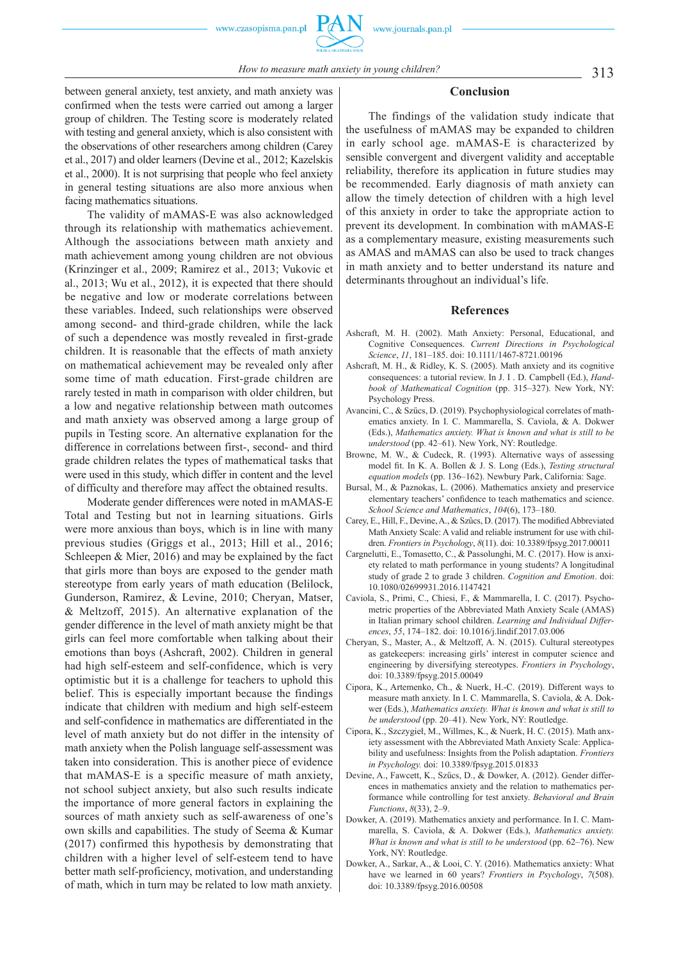between general anxiety, test anxiety, and math anxiety was confirmed when the tests were carried out among a larger group of children. The Testing score is moderately related with testing and general anxiety, which is also consistent with the observations of other researchers among children (Carey et al., 2017) and older learners (Devine et al., 2012; Kazelskis et al., 2000). It is not surprising that people who feel anxiety in general testing situations are also more anxious when

facing mathematics situations. The validity of mAMAS-E was also acknowledged through its relationship with mathematics achievement. Although the associations between math anxiety and math achievement among young children are not obvious (Krinzinger et al., 2009; Ramirez et al., 2013; Vukovic et al., 2013; Wu et al., 2012), it is expected that there should be negative and low or moderate correlations between these variables. Indeed, such relationships were observed among second- and third-grade children, while the lack of such a dependence was mostly revealed in first-grade children. It is reasonable that the effects of math anxiety on mathematical achievement may be revealed only after some time of math education. First-grade children are rarely tested in math in comparison with older children, but a low and negative relationship between math outcomes and math anxiety was observed among a large group of pupils in Testing score. An alternative explanation for the difference in correlations between first-, second- and third grade children relates the types of mathematical tasks that were used in this study, which differ in content and the level of difficulty and therefore may affect the obtained results.

Moderate gender differences were noted in mAMAS-E Total and Testing but not in learning situations. Girls were more anxious than boys, which is in line with many previous studies (Griggs et al., 2013; Hill et al., 2016; Schleepen & Mier, 2016) and may be explained by the fact that girls more than boys are exposed to the gender math stereotype from early years of math education (Belilock, Gunderson, Ramirez, & Levine, 2010; Cheryan, Matser, & Meltzoff, 2015). An alternative explanation of the gender difference in the level of math anxiety might be that girls can feel more comfortable when talking about their emotions than boys (Ashcraft, 2002). Children in general had high self-esteem and self-confidence, which is very optimistic but it is a challenge for teachers to uphold this belief. This is especially important because the findings indicate that children with medium and high self-esteem and self-confidence in mathematics are differentiated in the level of math anxiety but do not differ in the intensity of math anxiety when the Polish language self-assessment was taken into consideration. This is another piece of evidence that mAMAS-E is a specific measure of math anxiety, not school subject anxiety, but also such results indicate the importance of more general factors in explaining the sources of math anxiety such as self-awareness of one's own skills and capabilities. The study of Seema & Kumar (2017) confirmed this hypothesis by demonstrating that children with a higher level of self-esteem tend to have better math self-proficiency, motivation, and understanding of math, which in turn may be related to low math anxiety.

#### **Conclusion**

The findings of the validation study indicate that the usefulness of mAMAS may be expanded to children in early school age. mAMAS-E is characterized by sensible convergent and divergent validity and acceptable reliability, therefore its application in future studies may be recommended. Early diagnosis of math anxiety can allow the timely detection of children with a high level of this anxiety in order to take the appropriate action to prevent its development. In combination with mAMAS-E as a complementary measure, existing measurements such as AMAS and mAMAS can also be used to track changes in math anxiety and to better understand its nature and determinants throughout an individual's life.

#### **References**

- Ashcraft, M. H. (2002). Math Anxiety: Personal, Educational, and Cognitive Consequences. *Current Directions in Psychological Science*, *11*, 181–185. doi: 10.1111/1467-8721.00196
- Ashcraft, M. H., & Ridley, K. S. (2005). Math anxiety and its cognitive consequences: a tutorial review. In J. I . D. Campbell (Ed.), *Handbook of Mathematical Cognition* (pp. 315–327). New York, NY: Psychology Press.
- Avancini, C., & Szűcs, D. (2019). Psychophysiological correlates of mathematics anxiety. In I. C. Mammarella, S. Caviola, & A. Dokwer (Eds.), *Mathematics anxiety. What is known and what is still to be understood* (pp. 42–61). New York, NY: Routledge.
- Browne, M. W., & Cudeck, R. (1993). Alternative ways of assessing model fit. In K. A. Bollen & J. S. Long (Eds.), *Testing structural equation models* (pp. 136–162). Newbury Park, California: Sage.
- Bursal, M., & Paznokas, L. (2006). Mathematics anxiety and preservice elementary teachers' confidence to teach mathematics and science. *School Science and Mathematics*, *104*(6), 173–180.
- Carey, E., Hill, F., Devine, A., & Szűcs, D. (2017). The modified Abbreviated Math Anxiety Scale: A valid and reliable instrument for use with children. *Frontiers in Psychology*, *8*(11). doi: 10.3389/fpsyg.2017.00011
- Cargnelutti, E., Tomasetto, C., & Passolunghi, M. C. (2017). How is anxiety related to math performance in young students? A longitudinal study of grade 2 to grade 3 children. *Cognition and Emotion*. doi: 10.1080/02699931.2016.1147421
- Caviola, S., Primi, C., Chiesi, F., & Mammarella, I. C. (2017). Psychometric properties of the Abbreviated Math Anxiety Scale (AMAS) in Italian primary school children. *Learning and Individual Differences*, *55*, 174–182. doi: 10.1016/j.lindif.2017.03.006
- Cheryan, S., Master, A., & Meltzoff, A. N. (2015). Cultural stereotypes as gatekeepers: increasing girls' interest in computer science and engineering by diversifying stereotypes. *Frontiers in Psychology*, doi: 10.3389/fpsyg.2015.00049
- Cipora, K., Artemenko, Ch., & Nuerk, H.-C. (2019). Different ways to measure math anxiety. In I. C. Mammarella, S. Caviola, & A. Dokwer (Eds.), *Mathematics anxiety. What is known and what is still to be understood* (pp. 20–41). New York, NY: Routledge.
- Cipora, K., Szczygieł, M., Willmes, K., & Nuerk, H. C. (2015). Math anxiety assessment with the Abbreviated Math Anxiety Scale: Applicability and usefulness: Insights from the Polish adaptation. *Frontiers in Psychology.* doi: 10.3389/fpsyg.2015.01833
- Devine, A., Fawcett, K., Szűcs, D. , & Dowker, A. (2012). Gender differences in mathematics anxiety and the relation to mathematics performance while controlling for test anxiety. *Behavioral and Brain Functions*, *8*(33), 2–9.
- Dowker, A. (2019). Mathematics anxiety and performance. In I. C. Mammarella, S. Caviola, & A. Dokwer (Eds.), *Mathematics anxiety. What is known and what is still to be understood* (pp. 62–76). New York, NY: Routledge.
- Dowker, A., Sarkar, A., & Looi, C. Y. (2016). Mathematics anxiety: What have we learned in 60 years? *Frontiers in Psychology*, *7*(508). doi: 10.3389/fpsyg.2016.00508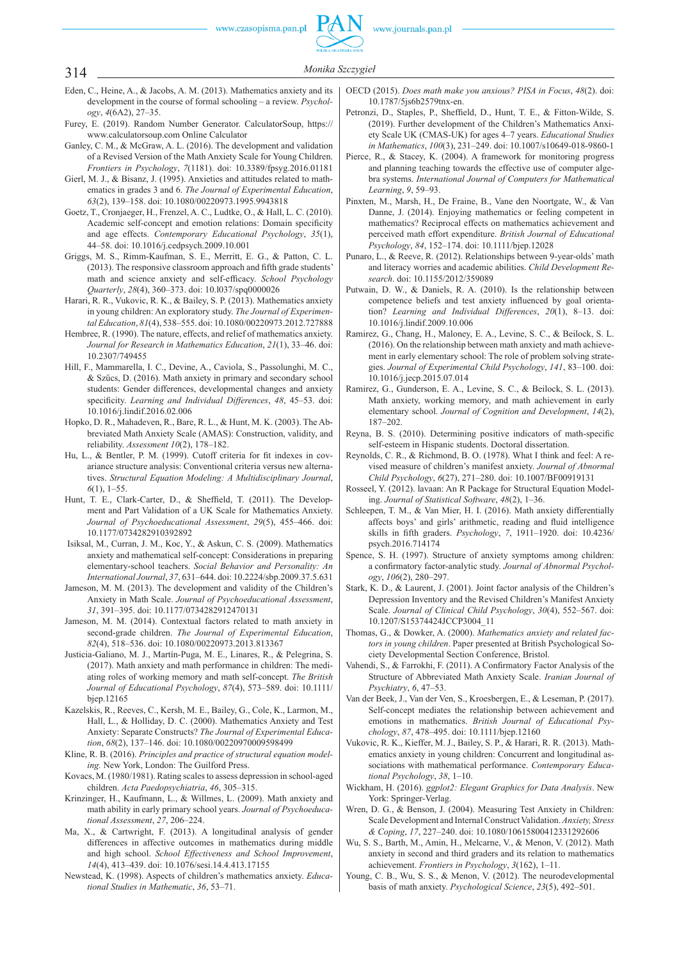## 314 *Monika Szczygie<sup>ł</sup>*

- Eden, C., Heine, A., & Jacobs, A. M. (2013). Mathematics anxiety and its development in the course of formal schooling – a review. *Psychology*, *4*(6A2), 27–35.
- Furey, E. (2019). Random Number Generator. CalculatorSoup, https:// www.calculatorsoup.com Online Calculator
- Ganley, C. M., & McGraw, A. L. (2016). The development and validation of a Revised Version of the Math Anxiety Scale for Young Children. *Frontiers in Psychology*, *7*(1181). doi: 10.3389/fpsyg.2016.01181
- Gierl, M. J., & Bisanz, J. (1995). Anxieties and attitudes related to mathematics in grades 3 and 6. *The Journal of Experimental Education*, *63*(2), 139–158. doi: 10.1080/00220973.1995.9943818
- Goetz, T., Cronjaeger, H., Frenzel, A. C., Ludtke, O., & Hall, L. C. (2010). Academic self-concept and emotion relations: Domain specificity and age effects. *Contemporary Educational Psychology*, *35*(1), 44–58. doi: 10.1016/j.cedpsych.2009.10.001
- Griggs, M. S., Rimm-Kaufman, S. E., Merritt, E. G., & Patton, C. L. (2013). The responsive classroom approach and fifth grade students' math and science anxiety and self-efficacy. *School Psychology Quarterly*, *28*(4), 360–373. doi: 10.l037/spq0000026
- Harari, R. R., Vukovic, R. K., & Bailey, S. P. (2013). Mathematics anxiety in young children: An exploratory study. *The Journal of Experimental Education*, *81*(4), 538–555. doi: 10.1080/00220973.2012.727888
- Hembree, R. (1990). The nature, effects, and relief of mathematics anxiety. *Journal for Research in Mathematics Education*, *21*(1), 33–46. doi: 10.2307/749455
- Hill, F., Mammarella, I. C., Devine, A., Caviola, S., Passolunghi, M. C., & Szűcs, D. (2016). Math anxiety in primary and secondary school students: Gender differences, developmental changes and anxiety specificity. *Learning and Individual Differences*, 48, 45-53. doi: 10.1016/j.lindif.2016.02.006
- Hopko, D. R., Mahadeven, R., Bare, R. L., & Hunt, M. K. (2003). The Abbreviated Math Anxiety Scale (AMAS): Construction, validity, and reliability. *Assessment 10*(2), 178–182.
- Hu, L., & Bentler, P. M. (1999). Cutoff criteria for fit indexes in covariance structure analysis: Conventional criteria versus new alternatives. *Structural Equation Modeling: A Multidisciplinary Journal*, *6*(1), 1–55.
- Hunt, T. E., Clark-Carter, D., & Sheffield, T. (2011). The Development and Part Validation of a UK Scale for Mathematics Anxiety. *Journal of Psychoeducational Assessment*, *29*(5), 455–466. doi: 10.1177/0734282910392892
- Isiksal, M., Curran, J. M., Koc, Y., & Askun, C. S. (2009). Mathematics anxiety and mathematical self-concept: Considerations in preparing elementary-school teachers. *Social Behavior and Personality: An International Journal*, *37*, 631–644. doi: 10.2224/sbp.2009.37.5.631
- Jameson, M. M. (2013). The development and validity of the Children's Anxiety in Math Scale. *Journal of Psychoeducational Assessment*, *31*, 391–395. doi: 10.1177/0734282912470131
- Jameson, M. M. (2014). Contextual factors related to math anxiety in second-grade children. *The Journal of Experimental Education*, *82*(4), 518–536. doi: 10.1080/00220973.2013.813367
- Justicia-Galiano, M. J., Martín-Puga, M. E., Linares, R., & Pelegrina, S. (2017). Math anxiety and math performance in children: The mediating roles of working memory and math self-concept. *The British Journal of Educational Psychology*, *87*(4), 573–589. doi: 10.1111/ bjep.12165
- Kazelskis, R., Reeves, C., Kersh, M. E., Bailey, G., Cole, K., Larmon, M., Hall, L., & Holliday, D. C. (2000). Mathematics Anxiety and Test Anxiety: Separate Constructs? *The Journal of Experimental Education*, *68*(2), 137–146. doi: 10.1080/00220970009598499
- Kline, R. B. (2016). *Principles and practice of structural equation modeling.* New York, London: The Guilford Press.
- Kovacs, M. (1980/1981). Rating scales to assess depression in school-aged children. *Acta Paedopsychiatria*, *46*, 305–315.
- Krinzinger, H., Kaufmann, L., & Willmes, L. (2009). Math anxiety and math ability in early primary school years. *Journal of Psychoeducational Assessment*, *27*, 206–224.
- Ma, X., & Cartwright, F. (2013). A longitudinal analysis of gender differences in affective outcomes in mathematics during middle and high school. *School Effectiveness and School Improvement*, *14*(4), 413–439. doi: 10.1076/sesi.14.4.413.17155
- Newstead, K. (1998). Aspects of children's mathematics anxiety. *Educational Studies in Mathematic*, *36*, 53–71.
- OECD (2015). *Does math make you anxious? PISA in Focus*, *48*(2). doi: 10.1787/5js6b2579tnx-en.
- Petronzi, D., Staples, P., Sheffield, D., Hunt, T. E., & Fitton-Wilde, S. (2019). Further development of the Children's Mathematics Anxiety Scale UK (CMAS-UK) for ages 4–7 years. *Educational Studies in Mathematics*, *100*(3), 231–249. doi: 10.1007/s10649-018-9860-1
- Pierce, R., & Stacey, K. (2004). A framework for monitoring progress and planning teaching towards the effective use of computer algebra systems. *International Journal of Computers for Mathematical Learning*, *9*, 59–93.
- Pinxten, M., Marsh, H., De Fraine, B., Vane den Noortgate, W., & Van Danne, J. (2014). Enjoying mathematics or feeling competent in mathematics? Reciprocal effects on mathematics achievement and perceived math effort expenditure. *British Journal of Educational Psychology*, *84*, 152–174. doi: 10.1111/bjep.12028
- Punaro, L., & Reeve, R. (2012). Relationships between 9-year-olds' math and literacy worries and academic abilities. *Child Development Research*. doi: 10.1155/2012/359089
- Putwain, D. W., & Daniels, R. A. (2010). Is the relationship between competence beliefs and test anxiety influenced by goal orientation? *Learning and Individual Differences*, *20*(1), 8–13. doi: 10.1016/j.lindif.2009.10.006
- Ramirez, G., Chang, H., Maloney, E. A., Levine, S. C., & Beilock, S. L. (2016). On the relationship between math anxiety and math achievement in early elementary school: The role of problem solving strategies. *Journal of Experimental Child Psychology*, *141*, 83–100. doi: 10.1016/j.jecp.2015.07.014
- Ramirez, G., Gunderson, E. A., Levine, S. C., & Beilock, S. L. (2013). Math anxiety, working memory, and math achievement in early elementary school. *Journal of Cognition and Development*, *14*(2), 187–202.
- Reyna, B. S. (2010). Determining positive indicators of math-specific self-esteem in Hispanic students. Doctoral dissertation.
- Reynolds, C. R., & Richmond, B. O. (1978). What I think and feel: A revised measure of children's manifest anxiety. *Journal of Abnormal Child Psychology*, *6*(27), 271–280. doi: 10.1007/BF00919131
- Rosseel, Y. (2012). lavaan: An R Package for Structural Equation Modeling. *Journal of Statistical Software*, *48*(2), 1–36.
- Schleepen, T. M., & Van Mier, H. I. (2016). Math anxiety differentially affects boys' and girls' arithmetic, reading and fluid intelligence skills in fifth graders. *Psychology*, 7, 1911–1920. doi: 10.4236/ psych.2016.714174
- Spence, S. H. (1997). Structure of anxiety symptoms among children: a confirmatory factor-analytic study. Journal of Abnormal Psychol*ogy*, *106*(2), 280–297.
- Stark, K. D., & Laurent, J. (2001). Joint factor analysis of the Children's Depression Inventory and the Revised Children's Manifest Anxiety Scale. *Journal of Clinical Child Psychology*, *30*(4), 552–567. doi: 10.1207/S15374424JCCP3004\_11
- Thomas, G., & Dowker, A. (2000). *Mathematics anxiety and related factors in young children*. Paper presented at British Psychological Society Developmental Section Conference, Bristol.
- Vahendi, S., & Farrokhi, F. (2011). A Confirmatory Factor Analysis of the Structure of Abbreviated Math Anxiety Scale. *Iranian Journal of Psychiatry*, *6*, 47–53.
- Van der Beek, J., Van der Ven, S., Kroesbergen, E., & Leseman, P. (2017). Self-concept mediates the relationship between achievement and emotions in mathematics. *British Journal of Educational Psychology*, *87*, 478–495. doi: 10.1111/bjep.12160
- Vukovic, R. K., Kieffer, M. J., Bailey, S. P., & Harari, R. R. (2013). Mathematics anxiety in young children: Concurrent and longitudinal associations with mathematical performance. *Contemporary Educational Psychology*, *38*, 1–10.
- Wickham, H. (2016). *ggplot2: Elegant Graphics for Data Analysis*. New York: Springer-Verlag.
- Wren, D. G., & Benson, J. (2004). Measuring Test Anxiety in Children: Scale Development and Internal Construct Validation. *Anxiety, Stress & Coping*, *17*, 227–240. doi: 10.1080/10615800412331292606
- Wu, S. S., Barth, M., Amin, H., Melcarne, V. , & Menon, V. (2012). Math anxiety in second and third graders and its relation to mathematics achievement. *Frontiers in Psychology*, *3*(162), 1–11.
- Young, C. B., Wu, S. S., & Menon, V. (2012). The neurodevelopmental basis of math anxiety. *Psychological Science*, *23*(5), 492–501.